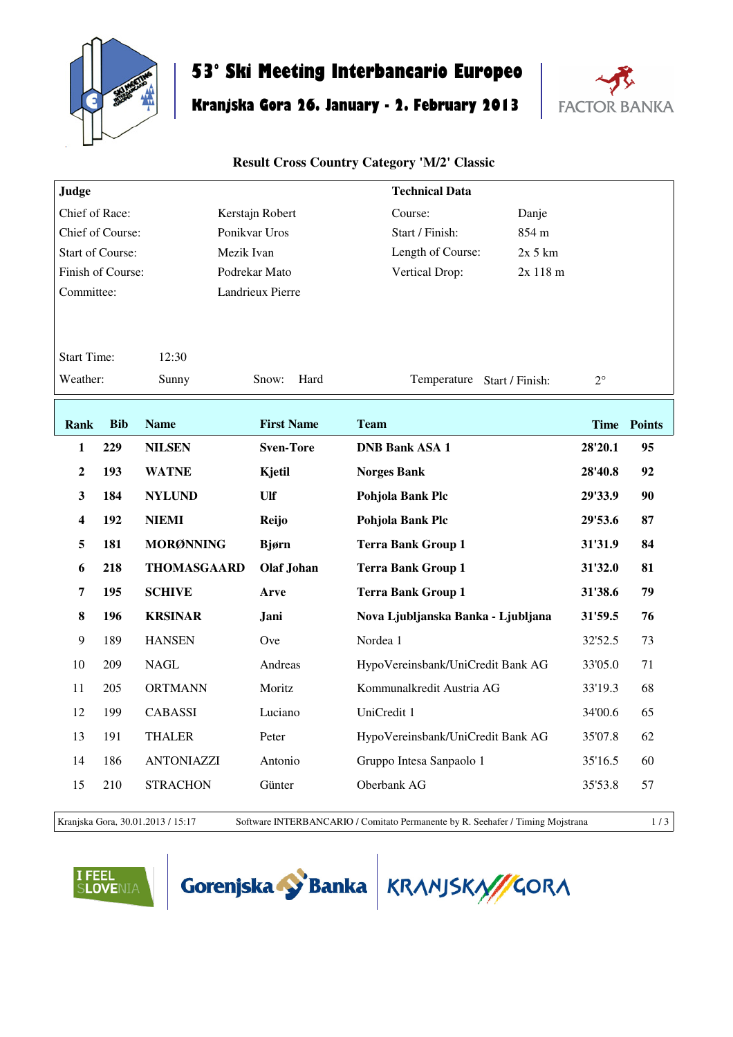

## **53° Ski Meeting Interbancario Europeo**

# **Kranjska Gora 26. January - 2. February 2013**



#### **Result Cross Country Category 'M/2' Classic**

| Judge                   |                   |                   |                   | <b>Technical Data</b>              |             |               |
|-------------------------|-------------------|-------------------|-------------------|------------------------------------|-------------|---------------|
| Chief of Race:          |                   |                   | Kerstajn Robert   | Course:<br>Danje                   |             |               |
| Chief of Course:        |                   |                   | Ponikvar Uros     | Start / Finish:<br>854 m           |             |               |
| Start of Course:        |                   |                   | Mezik Ivan        | Length of Course:<br>$2x$ 5 km     |             |               |
|                         | Finish of Course: |                   | Podrekar Mato     | Vertical Drop:<br>2x 118 m         |             |               |
| Committee:              |                   |                   | Landrieux Pierre  |                                    |             |               |
|                         |                   |                   |                   |                                    |             |               |
|                         |                   |                   |                   |                                    |             |               |
| <b>Start Time:</b>      |                   | 12:30             |                   |                                    |             |               |
| Weather:                |                   | Sunny             | Hard<br>Snow:     | Temperature Start / Finish:        | $2^{\circ}$ |               |
|                         |                   |                   |                   |                                    |             |               |
| Rank                    | <b>Bib</b>        | <b>Name</b>       | <b>First Name</b> | <b>Team</b>                        | Time        | <b>Points</b> |
| 1                       | 229               | <b>NILSEN</b>     | <b>Sven-Tore</b>  | <b>DNB Bank ASA 1</b>              | 28'20.1     | 95            |
| $\mathbf{2}$            | 193               | <b>WATNE</b>      | <b>K</b> jetil    | <b>Norges Bank</b>                 | 28'40.8     | 92            |
| $\mathbf{3}$            | 184               | <b>NYLUND</b>     | Ulf               | Pohjola Bank Plc                   | 29'33.9     | 90            |
| $\overline{\mathbf{4}}$ | 192               | <b>NIEMI</b>      | Reijo             | Pohjola Bank Plc                   | 29'53.6     | 87            |
| 5                       | 181               | <b>MORØNNING</b>  | <b>Bjørn</b>      | <b>Terra Bank Group 1</b>          | 31'31.9     | 84            |
| 6                       | 218               | THOMASGAARD       | <b>Olaf Johan</b> | <b>Terra Bank Group 1</b>          | 31'32.0     | 81            |
| 7                       | 195               | <b>SCHIVE</b>     | Arve              | <b>Terra Bank Group 1</b>          | 31'38.6     | 79            |
| 8                       | 196               | <b>KRSINAR</b>    | Jani              | Nova Ljubljanska Banka - Ljubljana | 31'59.5     | 76            |
| 9                       | 189               | <b>HANSEN</b>     | Ove               | Nordea 1                           | 32'52.5     | 73            |
| 10                      | 209               | <b>NAGL</b>       | Andreas           | HypoVereinsbank/UniCredit Bank AG  | 33'05.0     | 71            |
| 11                      | 205               | <b>ORTMANN</b>    | Moritz            | Kommunalkredit Austria AG          | 33'19.3     | 68            |
| 12                      | 199               | <b>CABASSI</b>    | Luciano           | UniCredit 1                        | 34'00.6     | 65            |
| 13                      | 191               | <b>THALER</b>     | Peter             | HypoVereinsbank/UniCredit Bank AG  | 35'07.8     | 62            |
| 14                      | 186               | <b>ANTONIAZZI</b> | Antonio           | Gruppo Intesa Sanpaolo 1           | 35'16.5     | 60            |
| 15                      | 210               | <b>STRACHON</b>   | Günter            | Oberbank AG                        | 35'53.8     | 57            |
|                         |                   |                   |                   |                                    |             |               |

Kranjska Gora, 30.01.2013 / 15:17 Software INTERBANCARIO / Comitato Permanente by R. Seehafer / Timing Mojstrana 1 / 3





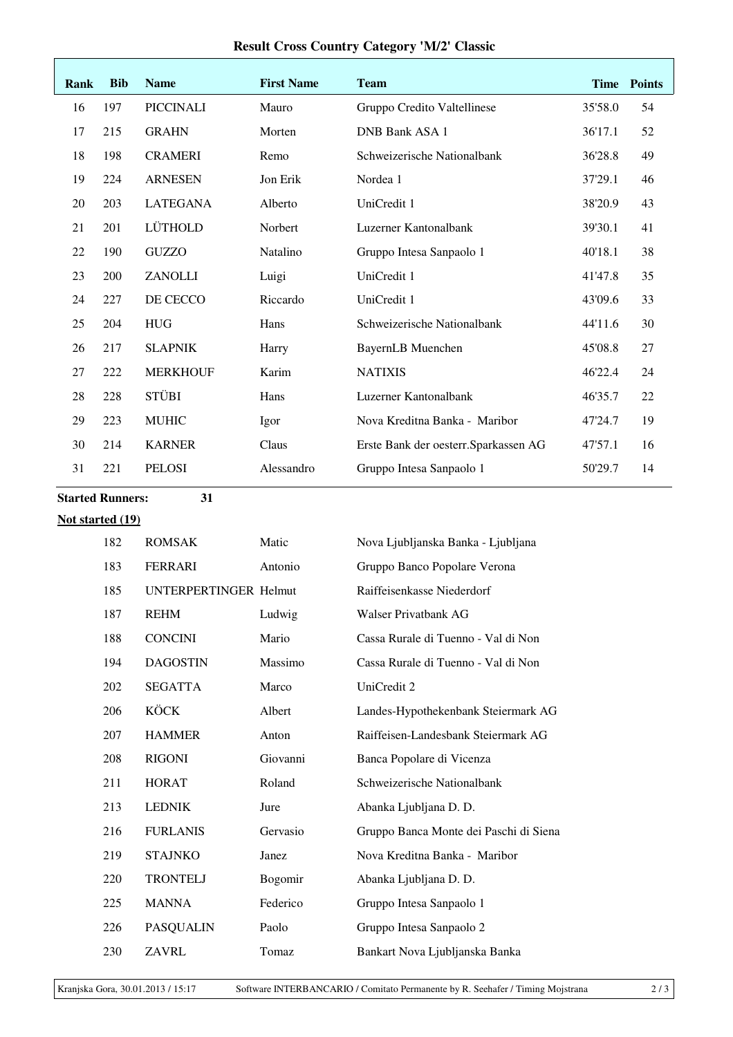### **Result Cross Country Category 'M/2' Classic**

| Rank | <b>Bib</b> | <b>Name</b>      | <b>First Name</b> | <b>Team</b>                           |         | <b>Time Points</b> |
|------|------------|------------------|-------------------|---------------------------------------|---------|--------------------|
| 16   | 197        | <b>PICCINALI</b> | Mauro             | Gruppo Credito Valtellinese           | 35'58.0 | 54                 |
| 17   | 215        | <b>GRAHN</b>     | Morten            | DNB Bank ASA 1                        | 36'17.1 | 52                 |
| 18   | 198        | <b>CRAMERI</b>   | Remo              | Schweizerische Nationalbank           | 36'28.8 | 49                 |
| 19   | 224        | <b>ARNESEN</b>   | Jon Erik          | Nordea 1                              | 37'29.1 | 46                 |
| 20   | 203        | <b>LATEGANA</b>  | Alberto           | UniCredit 1                           | 38'20.9 | 43                 |
| 21   | 201        | LÜTHOLD          | Norbert           | Luzerner Kantonalbank                 | 39'30.1 | 41                 |
| 22   | 190        | <b>GUZZO</b>     | Natalino          | Gruppo Intesa Sanpaolo 1              | 40'18.1 | 38                 |
| 23   | 200        | <b>ZANOLLI</b>   | Luigi             | UniCredit 1                           | 41'47.8 | 35                 |
| 24   | 227        | DE CECCO         | Riccardo          | UniCredit 1                           | 43'09.6 | 33                 |
| 25   | 204        | <b>HUG</b>       | Hans              | Schweizerische Nationalbank           | 44'11.6 | 30                 |
| 26   | 217        | <b>SLAPNIK</b>   | Harry             | BayernLB Muenchen                     | 45'08.8 | 27                 |
| 27   | 222        | <b>MERKHOUF</b>  | Karim             | <b>NATIXIS</b>                        | 46'22.4 | 24                 |
| 28   | 228        | <b>STÜBI</b>     | Hans              | Luzerner Kantonalbank                 | 46'35.7 | 22                 |
| 29   | 223        | <b>MUHIC</b>     | Igor              | Nova Kreditna Banka - Maribor         | 47'24.7 | 19                 |
| 30   | 214        | <b>KARNER</b>    | Claus             | Erste Bank der oesterr. Sparkassen AG | 47'57.1 | 16                 |
| 31   | 221        | <b>PELOSI</b>    | Alessandro        | Gruppo Intesa Sanpaolo 1              | 50'29.7 | 14                 |
|      |            |                  |                   |                                       |         |                    |

**Started Runners: 31**

#### **Not started (19)**

|  |  | ×<br>٩ |
|--|--|--------|
|  |  |        |
|  |  |        |

| 182 | <b>ROMSAK</b>                | Matic    | Nova Ljubljanska Banka - Ljubljana     |
|-----|------------------------------|----------|----------------------------------------|
| 183 | <b>FERRARI</b>               | Antonio  | Gruppo Banco Popolare Verona           |
| 185 | <b>UNTERPERTINGER Helmut</b> |          | Raiffeisenkasse Niederdorf             |
| 187 | <b>REHM</b>                  | Ludwig   | Walser Privatbank AG                   |
| 188 | <b>CONCINI</b>               | Mario    | Cassa Rurale di Tuenno - Val di Non    |
| 194 | <b>DAGOSTIN</b>              | Massimo  | Cassa Rurale di Tuenno - Val di Non    |
| 202 | <b>SEGATTA</b>               | Marco    | UniCredit 2                            |
| 206 | KÖCK                         | Albert   | Landes-Hypothekenbank Steiermark AG    |
| 207 | <b>HAMMER</b>                | Anton    | Raiffeisen-Landesbank Steiermark AG    |
| 208 | <b>RIGONI</b>                | Giovanni | Banca Popolare di Vicenza              |
| 211 | <b>HORAT</b>                 | Roland   | Schweizerische Nationalbank            |
| 213 | <b>LEDNIK</b>                | Jure     | Abanka Ljubljana D. D.                 |
| 216 | <b>FURLANIS</b>              | Gervasio | Gruppo Banca Monte dei Paschi di Siena |
| 219 | <b>STAJNKO</b>               | Janez    | Nova Kreditna Banka - Maribor          |
| 220 | <b>TRONTELJ</b>              | Bogomir  | Abanka Ljubljana D. D.                 |
| 225 | <b>MANNA</b>                 | Federico | Gruppo Intesa Sanpaolo 1               |
| 226 | <b>PASQUALIN</b>             | Paolo    | Gruppo Intesa Sanpaolo 2               |
| 230 | ZAVRL                        | Tomaz    | Bankart Nova Ljubljanska Banka         |
|     |                              |          |                                        |

 $\overline{\phantom{0}}$